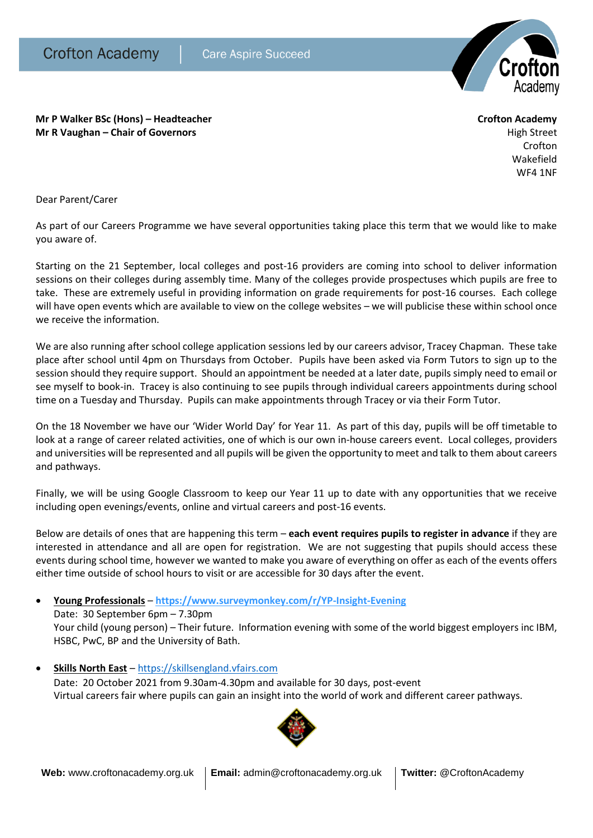

**Mr P Walker BSc (Hons) – Headteacher Crofton Academy Mr R Vaughan – Chair of Governors High Street High Street High Street High Street** 

Crofton Wakefield WF4 1NF

Dear Parent/Carer

As part of our Careers Programme we have several opportunities taking place this term that we would like to make you aware of.

Starting on the 21 September, local colleges and post-16 providers are coming into school to deliver information sessions on their colleges during assembly time. Many of the colleges provide prospectuses which pupils are free to take. These are extremely useful in providing information on grade requirements for post-16 courses. Each college will have open events which are available to view on the college websites – we will publicise these within school once we receive the information.

We are also running after school college application sessions led by our careers advisor, Tracey Chapman. These take place after school until 4pm on Thursdays from October. Pupils have been asked via Form Tutors to sign up to the session should they require support. Should an appointment be needed at a later date, pupils simply need to email or see myself to book-in. Tracey is also continuing to see pupils through individual careers appointments during school time on a Tuesday and Thursday. Pupils can make appointments through Tracey or via their Form Tutor.

On the 18 November we have our 'Wider World Day' for Year 11. As part of this day, pupils will be off timetable to look at a range of career related activities, one of which is our own in-house careers event. Local colleges, providers and universities will be represented and all pupils will be given the opportunity to meet and talk to them about careers and pathways.

Finally, we will be using Google Classroom to keep our Year 11 up to date with any opportunities that we receive including open evenings/events, online and virtual careers and post-16 events.

Below are details of ones that are happening this term – **each event requires pupils to register in advance** if they are interested in attendance and all are open for registration. We are not suggesting that pupils should access these events during school time, however we wanted to make you aware of everything on offer as each of the events offers either time outside of school hours to visit or are accessible for 30 days after the event.

## **Young Professionals** – **<https://www.surveymonkey.com/r/YP-Insight-Evening>**

Date: 30 September 6pm – 7.30pm Your child (young person) – Their future. Information evening with some of the world biggest employers inc IBM, HSBC, PwC, BP and the University of Bath.

**Skills North East** – [https://skillsengland.vfairs.com](https://skillsengland.vfairs.com/)

Date: 20 October 2021 from 9.30am-4.30pm and available for 30 days, post-event Virtual careers fair where pupils can gain an insight into the world of work and different career pathways.